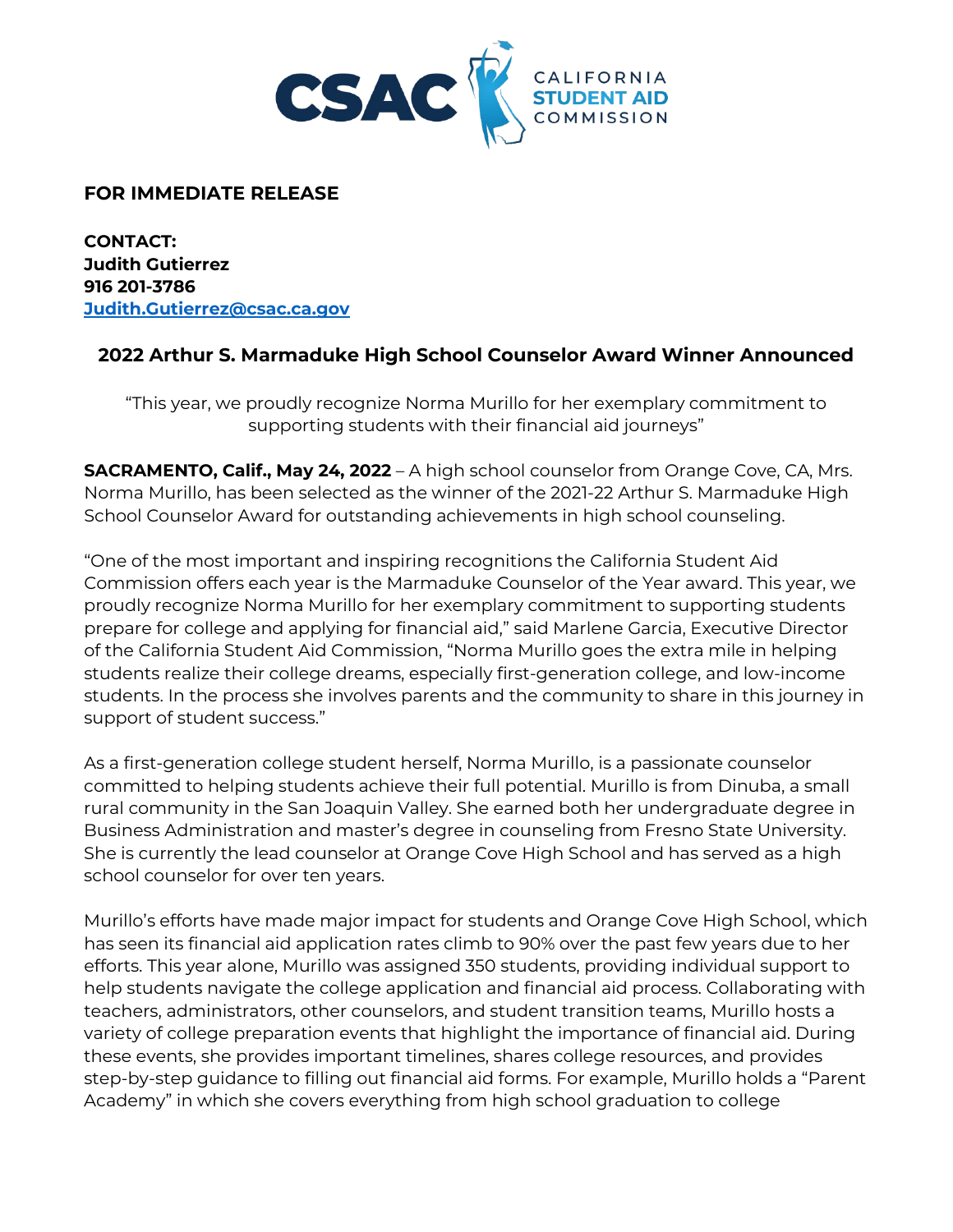

## **FOR IMMEDIATE RELEASE**

**CONTACT: Judith Gutierrez 916 201-3786 [Judith.Gutierrez@csac.ca.gov](mailto:Judith.Gutierrez@csac.ca.gov)**

## **2022 Arthur S. Marmaduke High School Counselor Award Winner Announced**

"This year, we proudly recognize Norma Murillo for her exemplary commitment to supporting students with their financial aid journeys"

**SACRAMENTO, Calif., May 24, 2022** – A high school counselor from Orange Cove, CA, Mrs. Norma Murillo, has been selected as the winner of the 2021-22 Arthur S. Marmaduke High School Counselor Award for outstanding achievements in high school counseling.

"One of the most important and inspiring recognitions the California Student Aid Commission offers each year is the Marmaduke Counselor of the Year award. This year, we proudly recognize Norma Murillo for her exemplary commitment to supporting students prepare for college and applying for financial aid," said Marlene Garcia, Executive Director of the California Student Aid Commission, "Norma Murillo goes the extra mile in helping students realize their college dreams, especially first-generation college, and low-income students. In the process she involves parents and the community to share in this journey in support of student success."

As a first-generation college student herself, Norma Murillo, is a passionate counselor committed to helping students achieve their full potential. Murillo is from Dinuba, a small rural community in the San Joaquin Valley. She earned both her undergraduate degree in Business Administration and master's degree in counseling from Fresno State University. She is currently the lead counselor at Orange Cove High School and has served as a high school counselor for over ten years.

Murillo's efforts have made major impact for students and Orange Cove High School, which has seen its financial aid application rates climb to 90% over the past few years due to her efforts. This year alone, Murillo was assigned 350 students, providing individual support to help students navigate the college application and financial aid process. Collaborating with teachers, administrators, other counselors, and student transition teams, Murillo hosts a variety of college preparation events that highlight the importance of financial aid. During these events, she provides important timelines, shares college resources, and provides step-by-step guidance to filling out financial aid forms. For example, Murillo holds a "Parent Academy" in which she covers everything from high school graduation to college